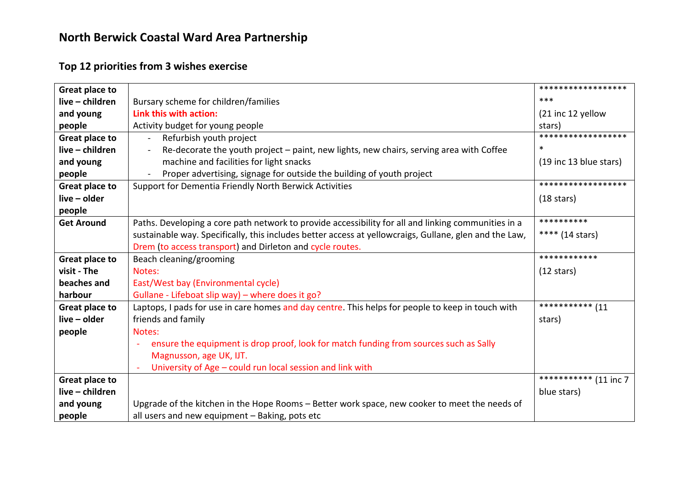## **Top 12 priorities from 3 wishes exercise**

| Great place to        |                                                                                                           | ******************        |
|-----------------------|-----------------------------------------------------------------------------------------------------------|---------------------------|
| live - children       | Bursary scheme for children/families                                                                      | $***$                     |
| and young             | Link this with action:                                                                                    | (21 inc 12 yellow         |
| people                | Activity budget for young people                                                                          | stars)                    |
| Great place to        | Refurbish youth project                                                                                   | ******************        |
| live - children       | Re-decorate the youth project – paint, new lights, new chairs, serving area with Coffee<br>$\blacksquare$ | $\ast$                    |
| and young             | machine and facilities for light snacks                                                                   | (19 inc 13 blue stars)    |
| people                | Proper advertising, signage for outside the building of youth project<br>$\blacksquare$                   |                           |
| Great place to        | Support for Dementia Friendly North Berwick Activities                                                    | ******************        |
| live - older          |                                                                                                           | $(18 \text{ stars})$      |
| people                |                                                                                                           |                           |
| <b>Get Around</b>     | Paths. Developing a core path network to provide accessibility for all and linking communities in a       | **********                |
|                       | sustainable way. Specifically, this includes better access at yellowcraigs, Gullane, glen and the Law,    | **** $(14 \text{ stars})$ |
|                       | Drem (to access transport) and Dirleton and cycle routes.                                                 |                           |
| Great place to        | Beach cleaning/grooming                                                                                   | ************              |
| visit - The           | Notes:                                                                                                    | $(12 \text{ stars})$      |
| beaches and           | East/West bay (Environmental cycle)                                                                       |                           |
| harbour               | Gullane - Lifeboat slip way) - where does it go?                                                          |                           |
| <b>Great place to</b> | Laptops, I pads for use in care homes and day centre. This helps for people to keep in touch with         | ************ (11          |
| live - older          | friends and family                                                                                        | stars)                    |
| people                | Notes:                                                                                                    |                           |
|                       | ensure the equipment is drop proof, look for match funding from sources such as Sally                     |                           |
|                       | Magnusson, age UK, IJT.                                                                                   |                           |
|                       | University of Age - could run local session and link with                                                 |                           |
| Great place to        |                                                                                                           | *********** (11 inc 7     |
| live - children       |                                                                                                           | blue stars)               |
| and young             | Upgrade of the kitchen in the Hope Rooms – Better work space, new cooker to meet the needs of             |                           |
| people                | all users and new equipment - Baking, pots etc                                                            |                           |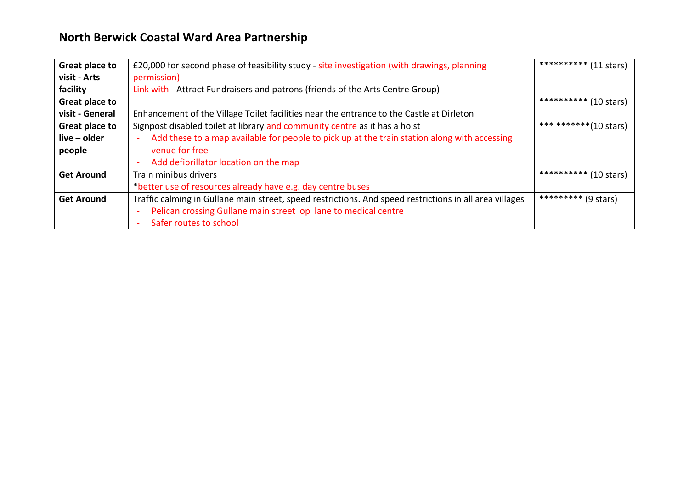| Great place to    | £20,000 for second phase of feasibility study - site investigation (with drawings, planning             | *********** (11 stars)           |
|-------------------|---------------------------------------------------------------------------------------------------------|----------------------------------|
| visit - Arts      | permission)                                                                                             |                                  |
| facility          | Link with - Attract Fundraisers and patrons (friends of the Arts Centre Group)                          |                                  |
| Great place to    |                                                                                                         | ********** (10 stars)            |
| visit - General   | Enhancement of the Village Toilet facilities near the entrance to the Castle at Dirleton                |                                  |
| Great place to    | Signpost disabled toilet at library and community centre as it has a hoist                              | ***********(10 stars)            |
| $live - older$    | Add these to a map available for people to pick up at the train station along with accessing            |                                  |
| people            | venue for free                                                                                          |                                  |
|                   | Add defibrillator location on the map                                                                   |                                  |
| <b>Get Around</b> | Train minibus drivers                                                                                   | **********<br>(10 stars)         |
|                   | *better use of resources already have e.g. day centre buses                                             |                                  |
| <b>Get Around</b> | Traffic calming in Gullane main street, speed restrictions. And speed restrictions in all area villages | *********<br>$(9 \text{ stars})$ |
|                   | Pelican crossing Gullane main street op lane to medical centre                                          |                                  |
|                   | Safer routes to school                                                                                  |                                  |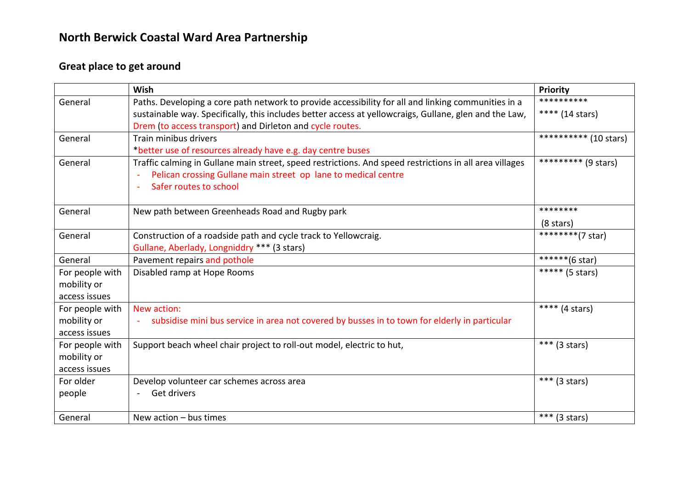## **Great place to get around**

|                 | Wish                                                                                                    | Priority                           |
|-----------------|---------------------------------------------------------------------------------------------------------|------------------------------------|
| General         | Paths. Developing a core path network to provide accessibility for all and linking communities in a     | **********                         |
|                 | sustainable way. Specifically, this includes better access at yellowcraigs, Gullane, glen and the Law,  | **** (14 stars)                    |
|                 | Drem (to access transport) and Dirleton and cycle routes.                                               |                                    |
| General         | Train minibus drivers                                                                                   | $\overline{**********}$ (10 stars) |
|                 | *better use of resources already have e.g. day centre buses                                             |                                    |
| General         | Traffic calming in Gullane main street, speed restrictions. And speed restrictions in all area villages | ********* (9 stars)                |
|                 | Pelican crossing Gullane main street op lane to medical centre                                          |                                    |
|                 | Safer routes to school                                                                                  |                                    |
|                 |                                                                                                         |                                    |
| General         | New path between Greenheads Road and Rugby park                                                         | ********                           |
|                 |                                                                                                         | $(8 \text{ stars})$                |
| General         | Construction of a roadside path and cycle track to Yellowcraig.                                         | $\overline{********(7 star)}$      |
|                 | Gullane, Aberlady, Longniddry *** (3 stars)                                                             |                                    |
| General         | Pavement repairs and pothole                                                                            | ******(6 star)                     |
| For people with | Disabled ramp at Hope Rooms                                                                             | ***** (5 stars)                    |
| mobility or     |                                                                                                         |                                    |
| access issues   |                                                                                                         |                                    |
| For people with | New action:                                                                                             | **** $(4 \text{ stars})$           |
| mobility or     | subsidise mini bus service in area not covered by busses in to town for elderly in particular           |                                    |
| access issues   |                                                                                                         |                                    |
| For people with | Support beach wheel chair project to roll-out model, electric to hut,                                   | *** (3 stars)                      |
| mobility or     |                                                                                                         |                                    |
| access issues   |                                                                                                         |                                    |
| For older       | Develop volunteer car schemes across area                                                               | *** $(3 \text{ stars})$            |
| people          | Get drivers                                                                                             |                                    |
|                 |                                                                                                         |                                    |
| General         | New action $-$ bus times                                                                                | *** (3 stars)                      |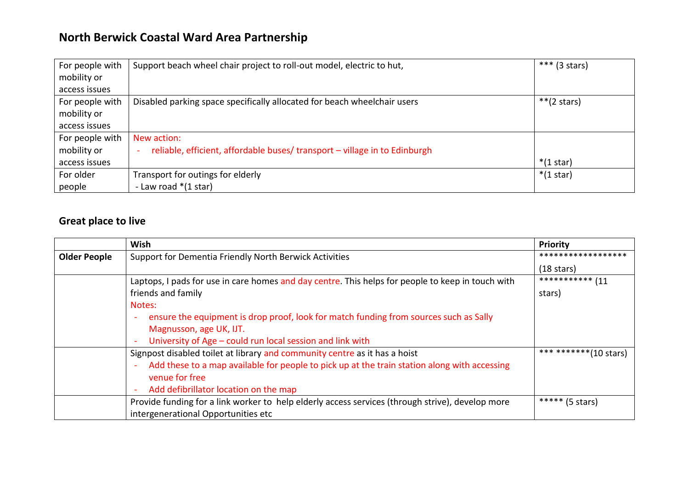| For people with | Support beach wheel chair project to roll-out model, electric to hut,     | *** $(3 \text{ stars})$ |
|-----------------|---------------------------------------------------------------------------|-------------------------|
| mobility or     |                                                                           |                         |
| access issues   |                                                                           |                         |
| For people with | Disabled parking space specifically allocated for beach wheelchair users  | **(2 stars)             |
| mobility or     |                                                                           |                         |
| access issues   |                                                                           |                         |
| For people with | New action:                                                               |                         |
| mobility or     | reliable, efficient, affordable buses/transport - village in to Edinburgh |                         |
| access issues   |                                                                           | $*(1 \text{ star})$     |
| For older       | Transport for outings for elderly                                         | $*(1 \text{ star})$     |
| people          | - Law road $*(1 \text{ star})$                                            |                         |

### **Great place to live**

|                     | Wish                                                                                                           | Priority               |
|---------------------|----------------------------------------------------------------------------------------------------------------|------------------------|
| <b>Older People</b> | Support for Dementia Friendly North Berwick Activities                                                         | ******************     |
|                     |                                                                                                                | $(18 \text{ stars})$   |
|                     | Laptops, I pads for use in care homes and day centre. This helps for people to keep in touch with              | ************ (11       |
|                     | friends and family                                                                                             | stars)                 |
|                     | Notes:                                                                                                         |                        |
|                     | ensure the equipment is drop proof, look for match funding from sources such as Sally<br>۰                     |                        |
|                     | Magnusson, age UK, IJT.                                                                                        |                        |
|                     | University of Age - could run local session and link with<br>۰                                                 |                        |
|                     | Signpost disabled toilet at library and community centre as it has a hoist                                     | *** ********(10 stars) |
|                     | Add these to a map available for people to pick up at the train station along with accessing<br>$\blacksquare$ |                        |
|                     | venue for free                                                                                                 |                        |
|                     | Add defibrillator location on the map<br>۰                                                                     |                        |
|                     | Provide funding for a link worker to help elderly access services (through strive), develop more               | ***** (5 stars)        |
|                     | intergenerational Opportunities etc                                                                            |                        |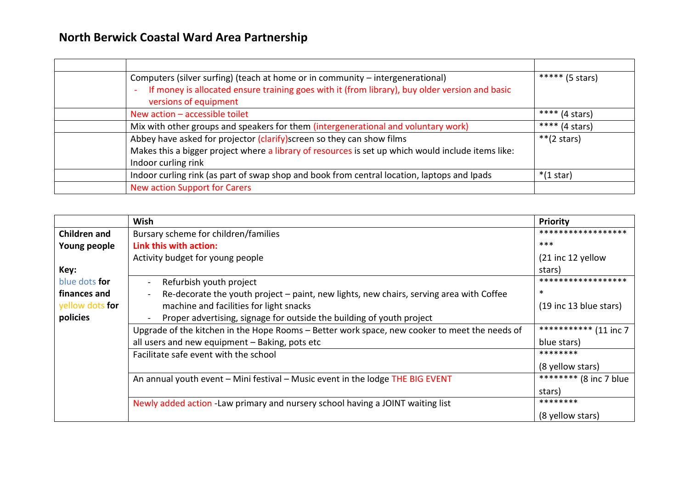|                                  | Computers (silver surfing) (teach at home or in community - intergenerational)                     | ***** (5 stars)     |
|----------------------------------|----------------------------------------------------------------------------------------------------|---------------------|
| versions of equipment            | If money is allocated ensure training goes with it (from library), buy older version and basic     |                     |
| New action $-$ accessible toilet |                                                                                                    | **** (4 stars)      |
|                                  | Mix with other groups and speakers for them (intergenerational and voluntary work)                 | **** (4 stars)      |
|                                  | Abbey have asked for projector (clarify) screen so they can show films                             | $**$ (2 stars)      |
|                                  | Makes this a bigger project where a library of resources is set up which would include items like: |                     |
| Indoor curling rink              |                                                                                                    |                     |
|                                  | Indoor curling rink (as part of swap shop and book from central location, laptops and Ipads        | $*(1 \text{ star})$ |
| New action Support for Carers    |                                                                                                    |                     |

|                      | Wish                                                                                                      | <b>Priority</b>                                   |
|----------------------|-----------------------------------------------------------------------------------------------------------|---------------------------------------------------|
| Children and         | Bursary scheme for children/families                                                                      | ******************                                |
| Young people         | Link this with action:                                                                                    | $***$                                             |
|                      | Activity budget for young people                                                                          | (21 inc 12 yellow                                 |
| Key:                 |                                                                                                           | stars)                                            |
| blue dots <b>for</b> | Refurbish youth project                                                                                   | ******************                                |
| finances and         | Re-decorate the youth project – paint, new lights, new chairs, serving area with Coffee<br>$\blacksquare$ | ∗                                                 |
| yellow dots for      | machine and facilities for light snacks                                                                   | (19 inc 13 blue stars)                            |
| policies             | Proper advertising, signage for outside the building of youth project                                     |                                                   |
|                      | Upgrade of the kitchen in the Hope Rooms - Better work space, new cooker to meet the needs of             | $\overline{\phantom{1}}$ ************** (11 inc 7 |
|                      | all users and new equipment - Baking, pots etc                                                            | blue stars)                                       |
|                      | Facilitate safe event with the school                                                                     | ********                                          |
|                      |                                                                                                           | (8 yellow stars)                                  |
|                      | An annual youth event - Mini festival - Music event in the lodge THE BIG EVENT                            | ******** (8 inc 7 blue                            |
|                      |                                                                                                           | stars)                                            |
|                      | Newly added action - Law primary and nursery school having a JOINT waiting list                           | ********                                          |
|                      |                                                                                                           | (8 yellow stars)                                  |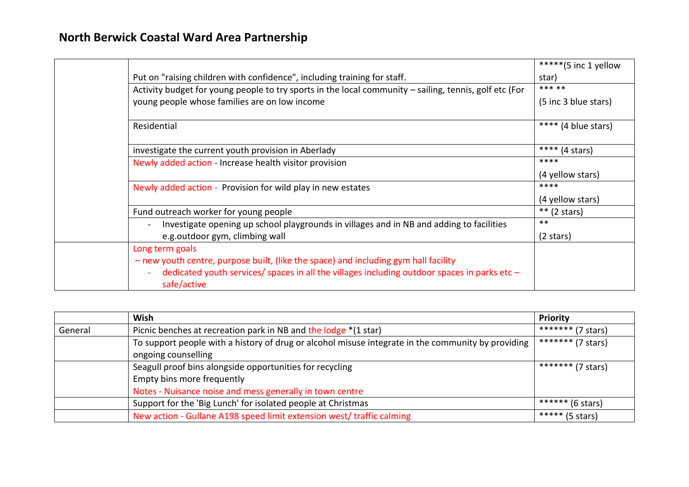|                                                                                                               | *****(5 inc 1 yellow     |
|---------------------------------------------------------------------------------------------------------------|--------------------------|
| Put on "raising children with confidence", including training for staff.                                      | star)                    |
| Activity budget for young people to try sports in the local community - sailing, tennis, golf etc (For        | *** **                   |
| young people whose families are on low income                                                                 | (5 inc 3 blue stars)     |
| Residential                                                                                                   | **** (4 blue stars)      |
| investigate the current youth provision in Aberlady                                                           | **** $(4 \text{ stars})$ |
| Newly added action - Increase health visitor provision                                                        | ****                     |
|                                                                                                               | (4 yellow stars)         |
| Newly added action - Provision for wild play in new estates                                                   | ****                     |
|                                                                                                               | (4 yellow stars)         |
| Fund outreach worker for young people                                                                         | $**$ (2 stars)           |
| Investigate opening up school playgrounds in villages and in NB and adding to facilities                      | $***$                    |
| e.g.outdoor gym, climbing wall                                                                                | $(2 \text{ stars})$      |
| Long term goals                                                                                               |                          |
| - new youth centre, purpose built, (like the space) and including gym hall facility                           |                          |
| dedicated youth services/ spaces in all the villages including outdoor spaces in parks etc $-$<br>safe/active |                          |

|         | Wish                                                                                                                      | <b>Priority</b>   |
|---------|---------------------------------------------------------------------------------------------------------------------------|-------------------|
| General | Picnic benches at recreation park in NB and the lodge *(1 star)                                                           | ******* (7 stars) |
|         | To support people with a history of drug or alcohol misuse integrate in the community by providing<br>ongoing counselling | ******* (7 stars) |
|         | Seagull proof bins alongside opportunities for recycling                                                                  | ******* (7 stars) |
|         | Empty bins more frequently                                                                                                |                   |
|         | Notes - Nuisance noise and mess generally in town centre                                                                  |                   |
|         | Support for the 'Big Lunch' for isolated people at Christmas                                                              | ****** (6 stars)  |
|         | New action - Gullane A198 speed limit extension west/ traffic calming                                                     | ***** (5 stars)   |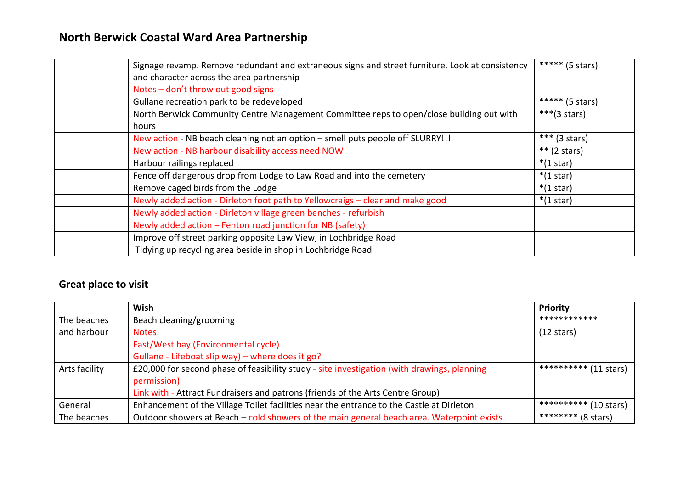| Signage revamp. Remove redundant and extraneous signs and street furniture. Look at consistency<br>and character across the area partnership | ***** (5 stars)         |
|----------------------------------------------------------------------------------------------------------------------------------------------|-------------------------|
| Notes - don't throw out good signs                                                                                                           |                         |
| Gullane recreation park to be redeveloped                                                                                                    | ***** (5 stars)         |
| North Berwick Community Centre Management Committee reps to open/close building out with                                                     | *** $(3 \text{ stars})$ |
| hours                                                                                                                                        |                         |
| New action - NB beach cleaning not an option - smell puts people off SLURRY!!!                                                               | *** $(3 \text{ stars})$ |
| New action - NB harbour disability access need NOW                                                                                           | $**$ (2 stars)          |
| Harbour railings replaced                                                                                                                    | $*(1 \text{ star})$     |
| Fence off dangerous drop from Lodge to Law Road and into the cemetery                                                                        | $*(1 \text{ star})$     |
| Remove caged birds from the Lodge                                                                                                            | $*(1 \text{ star})$     |
| Newly added action - Dirleton foot path to Yellowcraigs - clear and make good                                                                | $*(1 \text{ star})$     |
| Newly added action - Dirleton village green benches - refurbish                                                                              |                         |
| Newly added action - Fenton road junction for NB (safety)                                                                                    |                         |
| Improve off street parking opposite Law View, in Lochbridge Road                                                                             |                         |
| Tidying up recycling area beside in shop in Lochbridge Road                                                                                  |                         |

## **Great place to visit**

|               | <b>Wish</b>                                                                                 | <b>Priority</b>       |
|---------------|---------------------------------------------------------------------------------------------|-----------------------|
| The beaches   | Beach cleaning/grooming                                                                     | ************          |
| and harbour   | Notes:                                                                                      | $(12 \text{ stars})$  |
|               | East/West bay (Environmental cycle)                                                         |                       |
|               | Gullane - Lifeboat slip way) - where does it go?                                            |                       |
| Arts facility | £20,000 for second phase of feasibility study - site investigation (with drawings, planning | ********** (11 stars) |
|               | permission)                                                                                 |                       |
|               | Link with - Attract Fundraisers and patrons (friends of the Arts Centre Group)              |                       |
| General       | Enhancement of the Village Toilet facilities near the entrance to the Castle at Dirleton    | ********** (10 stars) |
| The beaches   | Outdoor showers at Beach - cold showers of the main general beach area. Waterpoint exists   | ******** (8 stars)    |